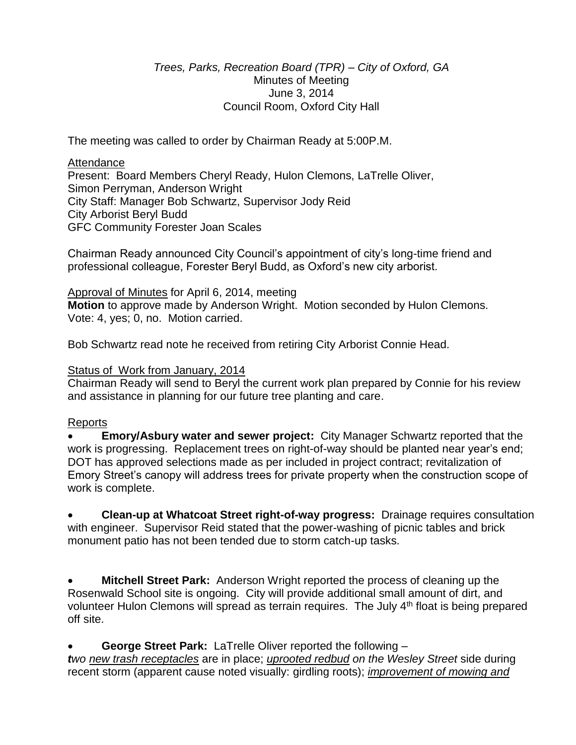## *Trees, Parks, Recreation Board (TPR) – City of Oxford, GA* Minutes of Meeting June 3, 2014 Council Room, Oxford City Hall

The meeting was called to order by Chairman Ready at 5:00P.M.

Attendance Present: Board Members Cheryl Ready, Hulon Clemons, LaTrelle Oliver, Simon Perryman, Anderson Wright City Staff: Manager Bob Schwartz, Supervisor Jody Reid City Arborist Beryl Budd GFC Community Forester Joan Scales

Chairman Ready announced City Council's appointment of city's long-time friend and professional colleague, Forester Beryl Budd, as Oxford's new city arborist.

Approval of Minutes for April 6, 2014, meeting **Motion** to approve made by Anderson Wright. Motion seconded by Hulon Clemons. Vote: 4, yes; 0, no. Motion carried.

Bob Schwartz read note he received from retiring City Arborist Connie Head.

Status of Work from January, 2014

Chairman Ready will send to Beryl the current work plan prepared by Connie for his review and assistance in planning for our future tree planting and care.

### Reports

 **Emory/Asbury water and sewer project:** City Manager Schwartz reported that the work is progressing. Replacement trees on right-of-way should be planted near year's end; DOT has approved selections made as per included in project contract; revitalization of Emory Street's canopy will address trees for private property when the construction scope of work is complete.

 **Clean-up at Whatcoat Street right-of-way progress:** Drainage requires consultation with engineer. Supervisor Reid stated that the power-washing of picnic tables and brick monument patio has not been tended due to storm catch-up tasks.

 **Mitchell Street Park:** Anderson Wright reported the process of cleaning up the Rosenwald School site is ongoing. City will provide additional small amount of dirt, and volunteer Hulon Clemons will spread as terrain requires. The July 4<sup>th</sup> float is being prepared off site.

**George Street Park:** LaTrelle Oliver reported the following –

*two new trash receptacles* are in place; *uprooted redbud on the Wesley Street* side during recent storm (apparent cause noted visually: girdling roots); *improvement of mowing and*